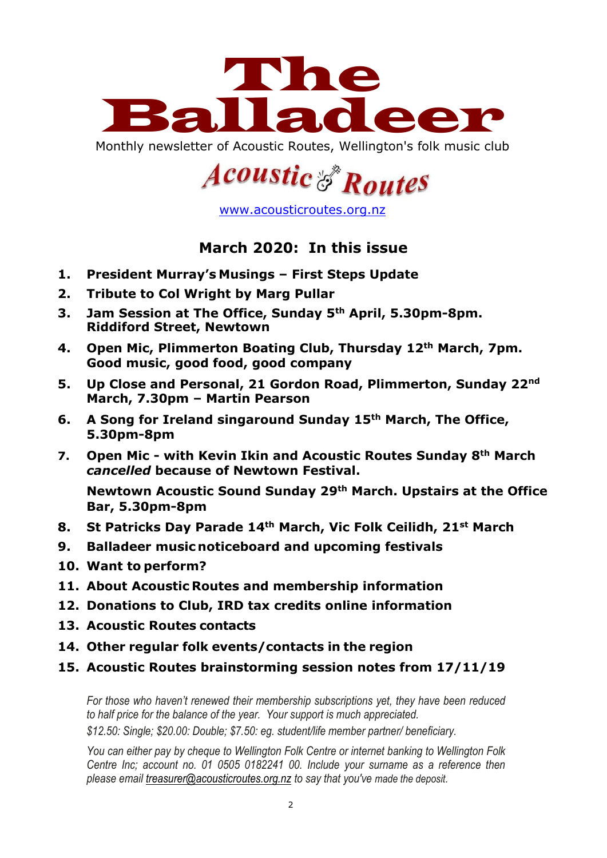

Monthly newsletter of Acoustic Routes, Wellington's folk music club

# **Acoustic & Routes**

[www.acousticroutes.org.nz](about:blank)

# **March 2020: In this issue**

- **1. President Murray's Musings – First Steps Update**
- **2. Tribute to Col Wright by Marg Pullar**
- **3. Jam Session at The Office, Sunday 5th April, 5.30pm-8pm. Riddiford Street, Newtown**
- **4. Open Mic, Plimmerton Boating Club, Thursday 12th March, 7pm. Good music, good food, good company**
- **5. Up Close and Personal, 21 Gordon Road, Plimmerton, Sunday 22nd March, 7.30pm – Martin Pearson**
- **6. A Song for Ireland singaround Sunday 15th March, The Office, 5.30pm-8pm**
- **7. Open Mic - with Kevin Ikin and Acoustic Routes Sunday 8th March** *cancelled* **because of Newtown Festival.**

**Newtown Acoustic Sound Sunday 29th March. Upstairs at the Office Bar, 5.30pm-8pm**

- **8. St Patricks Day Parade 14th March, Vic Folk Ceilidh, 21st March**
- **9. Balladeer music noticeboard and upcoming festivals**
- **10. Want to perform?**
- **11. About Acoustic Routes and membership information**
- **12. Donations to Club, IRD tax credits online information**
- **13. Acoustic Routes contacts**
- **14. Other regular folk events/contacts in the region**
- **15. Acoustic Routes brainstorming session notes from 17/11/19**

*For those who haven't renewed their membership subscriptions yet, they have been reduced to half price for the balance of the year. Your support is much appreciated.*

*\$12.50: Single; \$20.00: Double; \$7.50: eg. student/life member partner/ beneficiary.*

*You can either pay by cheque to Wellington Folk Centre or internet banking to Wellington Folk Centre Inc; account no. 01 0505 0182241 00. Include your surname as a reference then please email [treasurer@acousticroutes.org.nz](about:blank) to say that you've made the deposit*.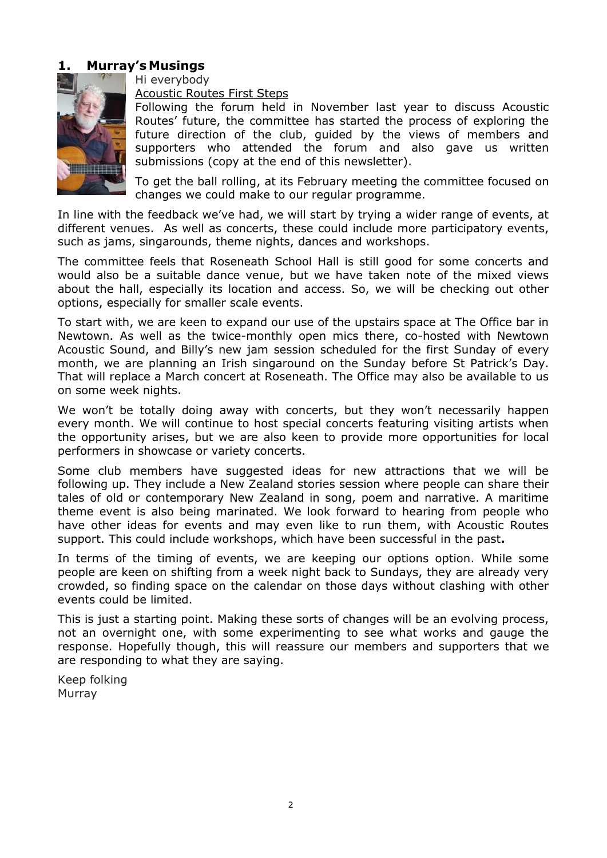## **1. Murray's Musings**



Hi everybody

Acoustic Routes First Steps

Following the forum held in November last year to discuss Acoustic Routes' future, the committee has started the process of exploring the future direction of the club, guided by the views of members and supporters who attended the forum and also gave us written submissions (copy at the end of this newsletter).

To get the ball rolling, at its February meeting the committee focused on changes we could make to our regular programme.

In line with the feedback we've had, we will start by trying a wider range of events, at different venues. As well as concerts, these could include more participatory events, such as jams, singarounds, theme nights, dances and workshops.

The committee feels that Roseneath School Hall is still good for some concerts and would also be a suitable dance venue, but we have taken note of the mixed views about the hall, especially its location and access. So, we will be checking out other options, especially for smaller scale events.

To start with, we are keen to expand our use of the upstairs space at The Office bar in Newtown. As well as the twice-monthly open mics there, co-hosted with Newtown Acoustic Sound, and Billy's new jam session scheduled for the first Sunday of every month, we are planning an Irish singaround on the Sunday before St Patrick's Day. That will replace a March concert at Roseneath. The Office may also be available to us on some week nights.

We won't be totally doing away with concerts, but they won't necessarily happen every month. We will continue to host special concerts featuring visiting artists when the opportunity arises, but we are also keen to provide more opportunities for local performers in showcase or variety concerts.

Some club members have suggested ideas for new attractions that we will be following up. They include a New Zealand stories session where people can share their tales of old or contemporary New Zealand in song, poem and narrative. A maritime theme event is also being marinated. We look forward to hearing from people who have other ideas for events and may even like to run them, with Acoustic Routes support. This could include workshops, which have been successful in the past**.**

In terms of the timing of events, we are keeping our options option. While some people are keen on shifting from a week night back to Sundays, they are already very crowded, so finding space on the calendar on those days without clashing with other events could be limited.

This is just a starting point. Making these sorts of changes will be an evolving process, not an overnight one, with some experimenting to see what works and gauge the response. Hopefully though, this will reassure our members and supporters that we are responding to what they are saying.

Keep folking Murray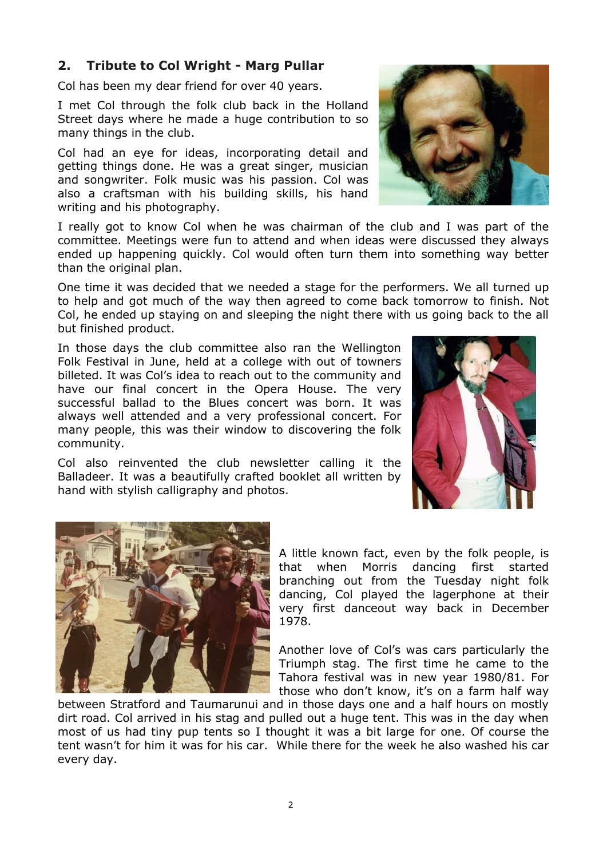# **2. Tribute to Col Wright - Marg Pullar**

Col has been my dear friend for over 40 years.

I met Col through the folk club back in the Holland Street days where he made a huge contribution to so many things in the club.

Col had an eye for ideas, incorporating detail and getting things done. He was a great singer, musician and songwriter. Folk music was his passion. Col was also a craftsman with his building skills, his hand writing and his photography.

I really got to know Col when he was chairman of the club and I was part of the committee. Meetings were fun to attend and when ideas were discussed they always ended up happening quickly. Col would often turn them into something way better than the original plan.

One time it was decided that we needed a stage for the performers. We all turned up to help and got much of the way then agreed to come back tomorrow to finish. Not Col, he ended up staying on and sleeping the night there with us going back to the all but finished product.

In those days the club committee also ran the Wellington Folk Festival in June, held at a college with out of towners billeted. It was Col's idea to reach out to the community and have our final concert in the Opera House. The very successful ballad to the Blues concert was born. It was always well attended and a very professional concert. For many people, this was their window to discovering the folk community.

Col also reinvented the club newsletter calling it the Balladeer. It was a beautifully crafted booklet all written by hand with stylish calligraphy and photos.







A little known fact, even by the folk people, is that when Morris dancing first started branching out from the Tuesday night folk dancing, Col played the lagerphone at their very first danceout way back in December 1978.

Another love of Col's was cars particularly the Triumph stag. The first time he came to the Tahora festival was in new year 1980/81. For those who don't know, it's on a farm half way

between Stratford and Taumarunui and in those days one and a half hours on mostly dirt road. Col arrived in his stag and pulled out a huge tent. This was in the day when most of us had tiny pup tents so I thought it was a bit large for one. Of course the tent wasn't for him it was for his car. While there for the week he also washed his car every day.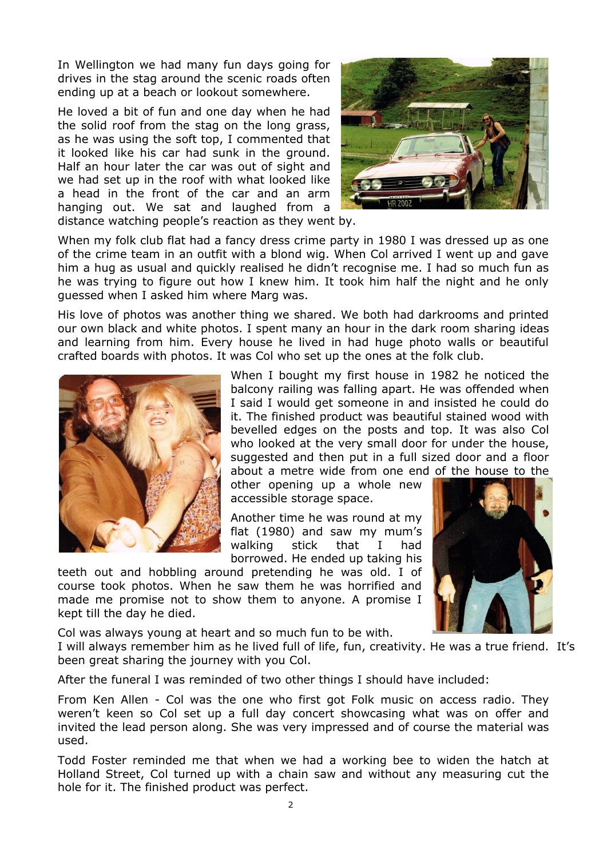In Wellington we had many fun days going for drives in the stag around the scenic roads often ending up at a beach or lookout somewhere.

He loved a bit of fun and one day when he had the solid roof from the stag on the long grass, as he was using the soft top, I commented that it looked like his car had sunk in the ground. Half an hour later the car was out of sight and we had set up in the roof with what looked like a head in the front of the car and an arm hanging out. We sat and laughed from a distance watching people's reaction as they went by.



When my folk club flat had a fancy dress crime party in 1980 I was dressed up as one of the crime team in an outfit with a blond wig. When Col arrived I went up and gave him a hug as usual and quickly realised he didn't recognise me. I had so much fun as he was trying to figure out how I knew him. It took him half the night and he only guessed when I asked him where Marg was.

His love of photos was another thing we shared. We both had darkrooms and printed our own black and white photos. I spent many an hour in the dark room sharing ideas and learning from him. Every house he lived in had huge photo walls or beautiful crafted boards with photos. It was Col who set up the ones at the folk club.



When I bought my first house in 1982 he noticed the balcony railing was falling apart. He was offended when I said I would get someone in and insisted he could do it. The finished product was beautiful stained wood with bevelled edges on the posts and top. It was also Col who looked at the very small door for under the house, suggested and then put in a full sized door and a floor about a metre wide from one end of the house to the

other opening up a whole new accessible storage space.

Another time he was round at my flat (1980) and saw my mum's walking stick that I had borrowed. He ended up taking his

teeth out and hobbling around pretending he was old. I of course took photos. When he saw them he was horrified and made me promise not to show them to anyone. A promise I kept till the day he died.



Col was always young at heart and so much fun to be with.

I will always remember him as he lived full of life, fun, creativity. He was a true friend. It's been great sharing the journey with you Col.

After the funeral I was reminded of two other things I should have included:

From Ken Allen - Col was the one who first got Folk music on access radio. They weren't keen so Col set up a full day concert showcasing what was on offer and invited the lead person along. She was very impressed and of course the material was used.

Todd Foster reminded me that when we had a working bee to widen the hatch at Holland Street, Col turned up with a chain saw and without any measuring cut the hole for it. The finished product was perfect.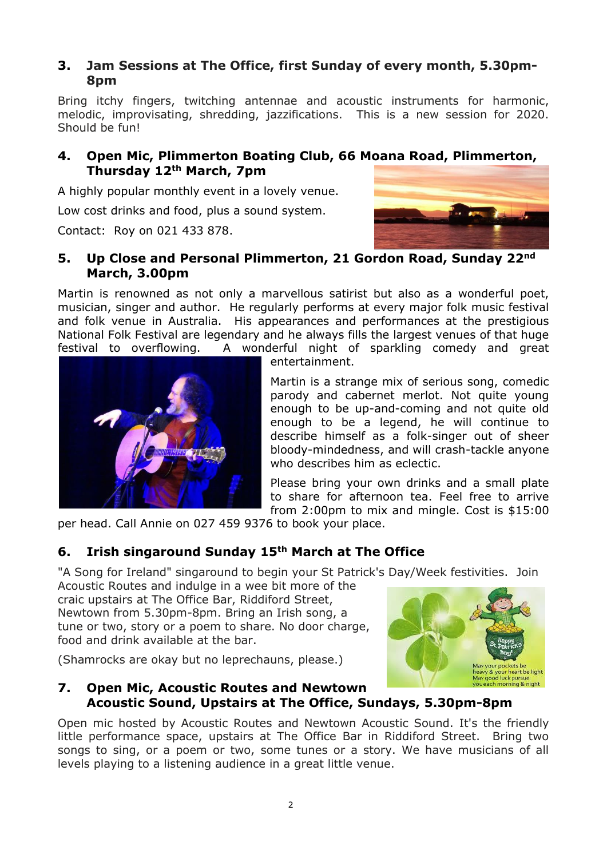# **3. Jam Sessions at The Office, first Sunday of every month, 5.30pm-8pm**

Bring itchy fingers, twitching antennae and acoustic instruments for harmonic, melodic, improvisating, shredding, jazzifications. This is a new session for 2020. Should be fun!

# **4. Open Mic, Plimmerton Boating Club, 66 Moana Road, Plimmerton, Thursday 12th March, 7pm**

A highly popular monthly event in a lovely venue.

Low cost drinks and food, plus a sound system.

Contact: Roy on 021 433 878.



# **5. Up Close and Personal Plimmerton, 21 Gordon Road, Sunday 22nd March, 3.00pm**

Martin is renowned as not only a marvellous satirist but also as a wonderful poet, musician, singer and author. He regularly performs at every major folk music festival and folk venue in Australia. His appearances and performances at the prestigious National Folk Festival are legendary and he always fills the largest venues of that huge festival to overflowing. A wonderful night of sparkling comedy and great



entertainment.

Martin is a strange mix of serious song, comedic parody and cabernet merlot. Not quite young enough to be up-and-coming and not quite old enough to be a legend, he will continue to describe himself as a folk-singer out of sheer bloody-mindedness, and will crash-tackle anyone who describes him as eclectic.

Please bring your own drinks and a small plate to share for afternoon tea. Feel free to arrive from 2:00pm to mix and mingle. Cost is \$15:00

per head. Call Annie on 027 459 9376 to book your place.

# **6. Irish singaround Sunday 15th March at The Office**

"A Song for Ireland" singaround to begin your St Patrick's Day/Week festivities. Join

Acoustic Routes and indulge in a wee bit more of the craic upstairs at The Office Bar, Riddiford Street, Newtown from 5.30pm-8pm. Bring an Irish song, a tune or two, story or a poem to share. No door charge, food and drink available at the bar.

(Shamrocks are okay but no leprechauns, please.)



## **7. Open Mic, Acoustic Routes and Newtown Acoustic Sound, Upstairs at The Office, Sundays, 5.30pm-8pm**

Open mic hosted by Acoustic Routes and Newtown Acoustic Sound. It's the friendly little performance space, upstairs at The Office Bar in Riddiford Street. Bring two songs to sing, or a poem or two, some tunes or a story. We have musicians of all levels playing to a listening audience in a great little venue.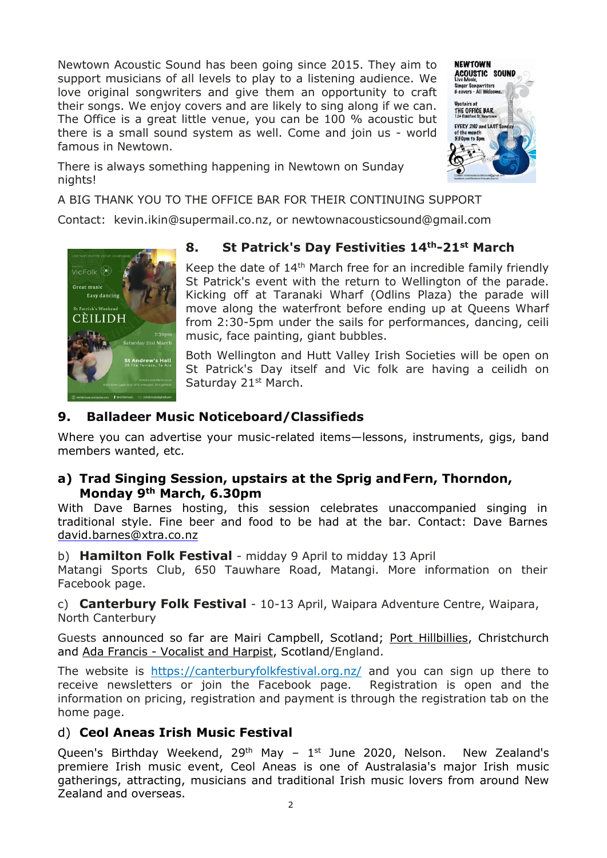Newtown Acoustic Sound has been going since 2015. They aim to support musicians of all levels to play to a listening audience. We love original songwriters and give them an opportunity to craft their songs. We enjoy covers and are likely to sing along if we can. The Office is a great little venue, you can be 100 % acoustic but there is a small sound system as well. Come and join us - world famous in Newtown.



There is always something happening in Newtown on Sunday nights!

A BIG THANK YOU TO THE OFFICE BAR FOR THEIR CONTINUING SUPPORT

Contact: kevin.ikin@supermail.co.nz, or newtownacousticsound@gmail.com



# **8. St Patrick's Day Festivities 14th-21st March**

Keep the date of 14<sup>th</sup> March free for an incredible family friendly St Patrick's event with the return to Wellington of the parade. Kicking off at Taranaki Wharf (Odlins Plaza) the parade will move along the waterfront before ending up at Queens Wharf from 2:30-5pm under the sails for performances, dancing, ceili music, face painting, giant bubbles.

Both Wellington and Hutt Valley Irish Societies will be open on St Patrick's Day itself and Vic folk are having a ceilidh on Saturday 21<sup>st</sup> March.

# **9. Balladeer Music Noticeboard/Classifieds**

Where you can advertise your music-related items—lessons, instruments, gigs, band members wanted, etc.

# **a) Trad Singing Session, upstairs at the Sprig andFern, Thorndon, Monday 9th March, 6.30pm**

With Dave Barnes hosting, this session celebrates unaccompanied singing in traditional style. Fine beer and food to be had at the bar. Contact: Dave Barnes [david.barnes@xtra.co.nz](about:blank)

b) **Hamilton Folk Festival** - midday 9 April to midday 13 April

Matangi Sports Club, 650 Tauwhare Road, Matangi. More information on their Facebook page.

c) **Canterbury Folk Festival** - 10-13 April, Waipara Adventure Centre, Waipara, North Canterbury

Guests announced so far are Mairi Campbell, Scotland; Port [Hillbillies,](about:blank) Christchurch and Ada Francis - [Vocalist](about:blank) and Harpist, Scotland/England.

The website is [https://canterburyfolkfestival.org.nz/](about:blank) and you can sign up there to receive newsletters or join the Facebook page. Registration is open and the information on pricing, registration and payment is through the registration tab on the home page.

# d) **Ceol Aneas Irish Music Festival**

Queen's Birthday Weekend,  $29<sup>th</sup>$  May –  $1<sup>st</sup>$  June 2020, Nelson. New Zealand's premiere Irish music event, Ceol Aneas is one of Australasia's major Irish music gatherings, attracting, musicians and traditional Irish music lovers from around New Zealand and overseas.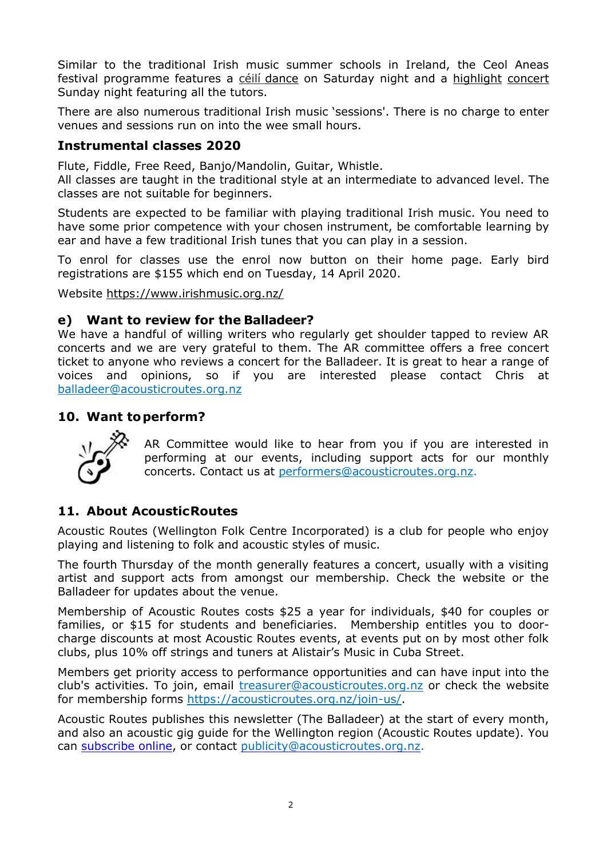Similar to the traditional Irish music summer schools in Ireland, the Ceol Aneas festival programme features a céilí [dance](about:blank) on Saturday night and a highlight [concert](about:blank) Sunday night featuring all the tutors.

There are also numerous traditional Irish music 'sessions'. There is no charge to enter venues and sessions run on into the wee small hours.

# **Instrumental classes 2020**

Flute, Fiddle, Free Reed, Banjo/Mandolin, Guitar, Whistle.

All classes are taught in the traditional style at an intermediate to advanced level. The classes are not suitable for beginners.

Students are expected to be familiar with playing traditional Irish music. You need to have some prior competence with your chosen instrument, be comfortable learning by ear and have a few traditional Irish tunes that you can play in a session.

To enrol for classes use the enrol now button on their home page. Early bird registrations are \$155 which end on Tuesday, 14 April 2020.

Website [https://www.irishmusic.org.nz/](about:blank)

# **e) Want to review for the Balladeer?**

We have a handful of willing writers who regularly get shoulder tapped to review AR concerts and we are very grateful to them. The AR committee offers a free concert ticket to anyone who reviews a concert for the Balladeer. It is great to hear a range of voices and opinions, so if you are interested please contact Chris at [balladeer@acousticroutes.org.nz](about:blank)

# **10. Want toperform?**



AR Committee would like to hear from you if you are interested in performing at our events, including support acts for our monthly concerts. Contact us at [performers@acousticroutes.org.nz.](about:blank)

# **11. About AcousticRoutes**

Acoustic Routes (Wellington Folk Centre Incorporated) is a club for people who enjoy playing and listening to folk and acoustic styles of music.

The fourth Thursday of the month generally features a concert, usually with a visiting artist and support acts from amongst our membership. Check the website or the Balladeer for updates about the venue.

Membership of Acoustic Routes costs \$25 a year for individuals, \$40 for couples or families, or \$15 for students and beneficiaries. Membership entitles you to doorcharge discounts at most Acoustic Routes events, at events put on by most other folk clubs, plus 10% off strings and tuners at Alistair's Music in Cuba Street.

Members get priority access to performance opportunities and can have input into the club's activities. To join, email [treasurer@acousticroutes.org.nz](about:blank) or check the website for membership forms [https://acousticroutes.org.nz/join-us/.](about:blank)

Acoustic Routes publishes this newsletter (The Balladeer) at the start of every month, and also an acoustic gig guide for the Wellington region (Acoustic Routes update). You can [subscribe online,](about:blank) or contact [publicity@acousticroutes.org.nz.](about:blank)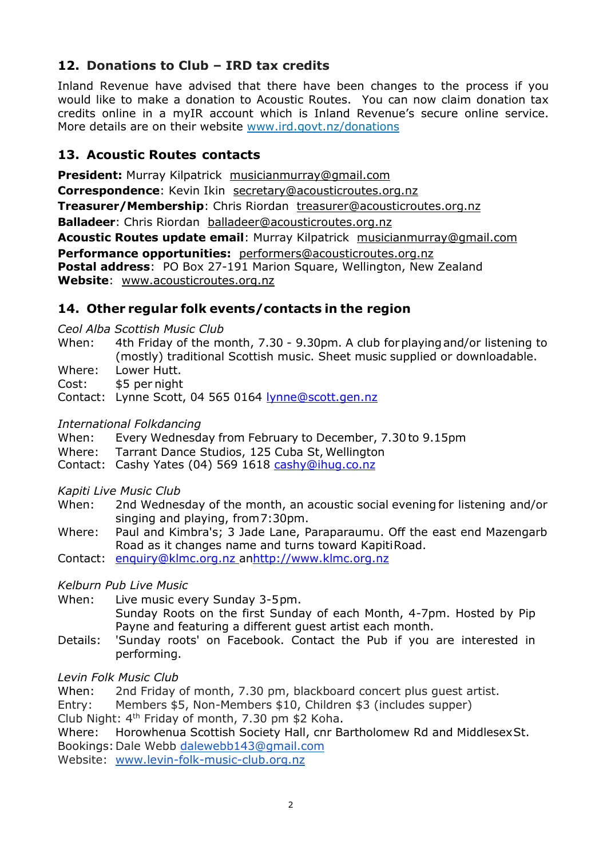# **12. Donations to Club – IRD tax credits**

Inland Revenue have advised that there have been changes to the process if you would like to make a donation to Acoustic Routes. You can now claim donation tax credits online in a myIR account which is Inland Revenue's secure online service. More details are on their website [www.ird.govt.nz/donations](about:blank)

# **13. Acoustic Routes contacts**

**President:** Murray Kilpatrick [musicianmurray@gmail.com](about:blank)  **Correspondence**: Kevin Ikin [secretary@acousticroutes.org.nz](about:blank) **Treasurer/Membership:** Chris Riordan [treasurer@acousticroutes.org.nz](about:blank) **Balladeer**: Chris Riordan [balladeer@acousticroutes.org.nz](about:blank) **Acoustic Routes update email**: Murray Kilpatrick [musicianmurray@gmail.com](about:blank)  **Performance opportunities:** [performers@acousticroutes.org.nz](about:blank) **Postal address**: PO Box 27-191 Marion Square, Wellington, New Zealand **Website**: [www.acousticroutes.org.nz](about:blank)

# **14. Other regular folk events/contacts in the region**

*Ceol Alba Scottish Music Club*

- When: 4th Friday of the month, 7.30 9.30pm. A club forplayingand/or listening to (mostly) traditional Scottish music. Sheet music supplied or downloadable.
- Where: Lower Hutt.

Cost: \$5 per night

Contact: Lynne Scott, 04 565 0164 [lynne@scott.gen.nz](about:blank)

#### *International Folkdancing*

- When: Every Wednesday from February to December, 7.30 to 9.15pm
- Where: Tarrant Dance Studios, 125 Cuba St, Wellington
- Contact: Cashy Yates (04) 569 1618 [cashy@ihug.co.nz](about:blank)

*Kapiti Live Music Club*

- When: 2nd Wednesday of the month, an acoustic social evening for listening and/or singing and playing, from7:30pm.
- Where: Paul and Kimbra's; 3 Jade Lane, Paraparaumu. Off the east end Mazengarb Road as it changes name and turns toward KapitiRoad.
- Contact: [enquiry@klmc.org.nz anhttp://www.klmc.org.nz](about:blank)

*Kelburn Pub Live Music*

When: Live music every Sunday 3-5pm. Sunday Roots on the first Sunday of each Month, 4-7pm. Hosted by Pip Payne and featuring a different guest artist each month.

Details: 'Sunday roots' on Facebook. Contact the Pub if you are interested in performing.

#### *Levin Folk Music Club*

When: 2nd Friday of month, 7.30 pm, blackboard concert plus quest artist.

Entry: Members \$5, Non-Members \$10, Children \$3 (includes supper)

Club Night:  $4<sup>th</sup>$  Friday of month, 7.30 pm \$2 Koha.

Where: Horowhenua Scottish Society Hall, cnr Bartholomew Rd and MiddlesexSt. Bookings:Dale Webb [dalewebb143@gmail.com](about:blank)

Website: [www.levin-folk-music-club.org.nz](about:blank)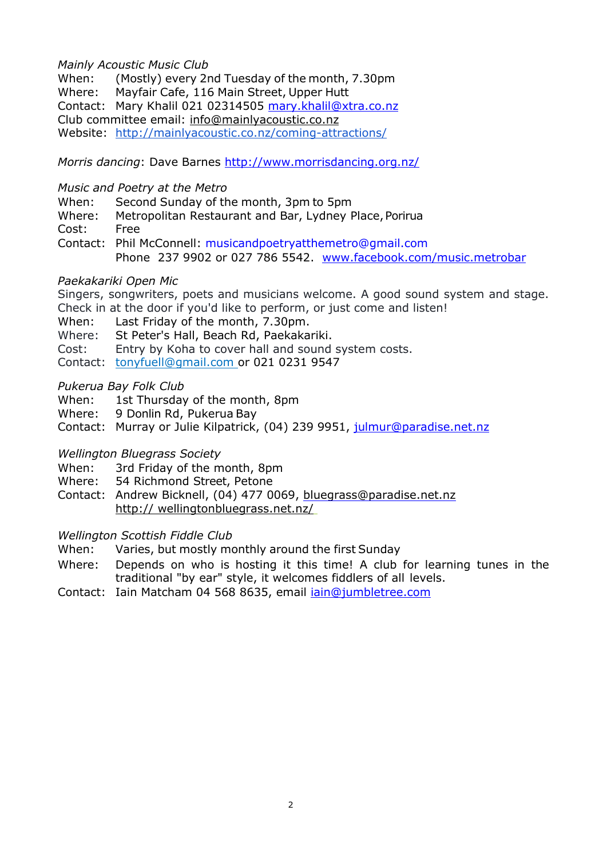#### *Mainly Acoustic Music Club*

When: (Mostly) every 2nd Tuesday of the month, 7.30pm Where: Mayfair Cafe, 116 Main Street, Upper Hutt Contact: Mary Khalil 021 02314505 [mary.khalil@xtra.co.nz](about:blank) Club committee email: [info@mainlyacoustic.co.nz](about:blank) Website: [http://mainlyacoustic.co.nz/coming-attractions/](about:blank)

*Morris dancing*: Dave Barnes [http://www.morrisdancing.org.nz/](about:blank)

#### *Music and Poetry at the Metro*

- When: Second Sunday of the month, 3pm to 5pm
- Where: Metropolitan Restaurant and Bar, Lydney Place, Porirua

Cost: Free

Contact: Phil McConnell: [musicandpoetryatthemetro@gmail.com](about:blank) Phone 237 9902 or 027 786 5542. [www.facebook.com/music.metrobar](about:blank)

#### *Paekakariki Open Mic*

Singers, songwriters, poets and musicians welcome. A good sound system and stage.

- Check in at the door if you'd like to perform, or just come and listen!
- When: Last Friday of the month, 7.30pm.

Where: St Peter's Hall, Beach Rd, Paekakariki.

Cost: Entry by Koha to cover hall and sound system costs.

Contact: tonyfuell@gmail.com or 021 0231 9547

## *Pukerua Bay Folk Club*

- When: 1st Thursday of the month, 8pm
- Where: 9 Donlin Rd, Pukerua Bay
- Contact: Murray or Julie Kilpatrick, (04) 239 9951, [julmur@paradise.net.nz](about:blank)

# *Wellington Bluegrass Society*

When: 3rd Friday of the month, 8pm

- Where: 54 Richmond Street, Petone
- Contact: Andrew Bicknell, (04) 477 0069, [bluegrass@paradise.net.nz](about:blank) http:// wellingtonbluegrass.net.nz/

#### *Wellington Scottish Fiddle Club*

When: Varies, but mostly monthly around the first Sunday

- Where: Depends on who is hosting it this time! A club for learning tunes in the traditional "by ear" style, it welcomes fiddlers of all levels.
- Contact: Iain Matcham 04 568 8635, email [iain@jumbletree.com](about:blank)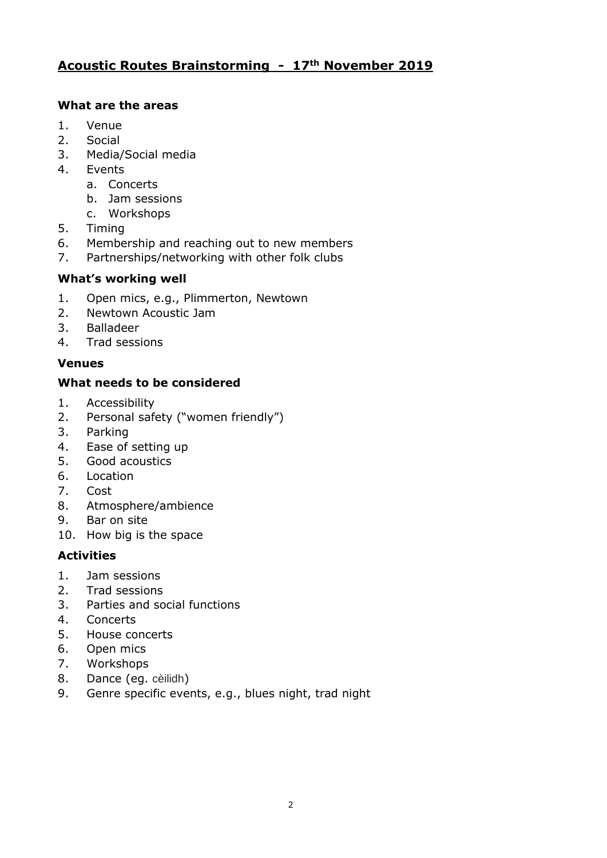# **Acoustic Routes Brainstorming - 17th November 2019**

## **What are the areas**

- 1. Venue
- 2. Social
- 3. Media/Social media
- 4. Events
	- a. Concerts
	- b. Jam sessions
	- c. Workshops
- 5. Timing
- 6. Membership and reaching out to new members
- 7. Partnerships/networking with other folk clubs

## **What's working well**

- 1. Open mics, e.g., Plimmerton, Newtown
- 2. Newtown Acoustic Jam
- 3. Balladeer
- 4. Trad sessions

# **Venues**

# **What needs to be considered**

- 1. Accessibility
- 2. Personal safety ("women friendly")
- 3. Parking
- 4. Ease of setting up
- 5. Good acoustics
- 6. Location
- 7. Cost
- 8. Atmosphere/ambience
- 9. Bar on site
- 10. How big is the space

#### **Activities**

- 1. Jam sessions
- 2. Trad sessions
- 3. Parties and social functions
- 4. Concerts
- 5. House concerts
- 6. Open mics
- 7. Workshops
- 8. Dance (eg. cèilidh)
- 9. Genre specific events, e.g., blues night, trad night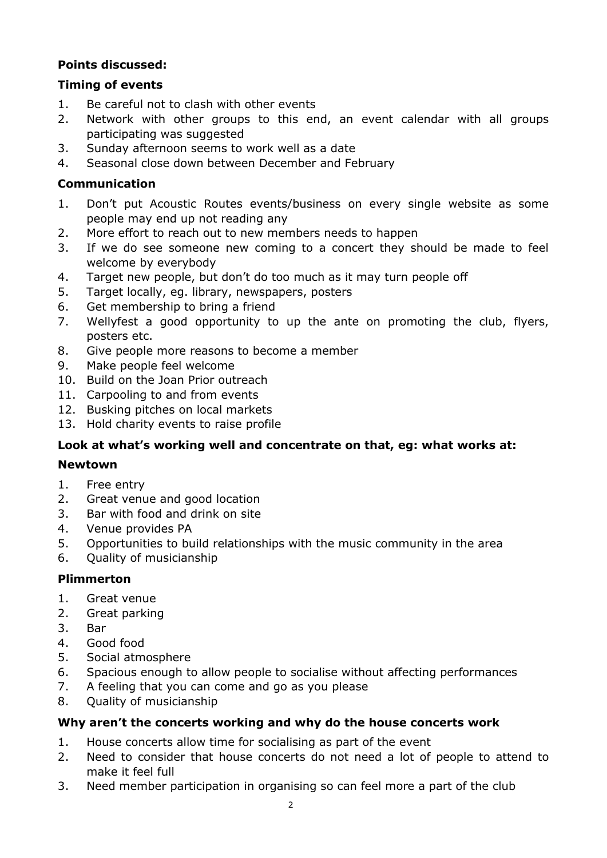# **Points discussed:**

## **Timing of events**

- 1. Be careful not to clash with other events
- 2. Network with other groups to this end, an event calendar with all groups participating was suggested
- 3. Sunday afternoon seems to work well as a date
- 4. Seasonal close down between December and February

#### **Communication**

- 1. Don't put Acoustic Routes events/business on every single website as some people may end up not reading any
- 2. More effort to reach out to new members needs to happen
- 3. If we do see someone new coming to a concert they should be made to feel welcome by everybody
- 4. Target new people, but don't do too much as it may turn people off
- 5. Target locally, eg. library, newspapers, posters
- 6. Get membership to bring a friend
- 7. Wellyfest a good opportunity to up the ante on promoting the club, flyers, posters etc.
- 8. Give people more reasons to become a member
- 9. Make people feel welcome
- 10. Build on the Joan Prior outreach
- 11. Carpooling to and from events
- 12. Busking pitches on local markets
- 13. Hold charity events to raise profile

# **Look at what's working well and concentrate on that, eg: what works at:**

#### **Newtown**

- 1. Free entry
- 2. Great venue and good location
- 3. Bar with food and drink on site
- 4. Venue provides PA
- 5. Opportunities to build relationships with the music community in the area
- 6. Quality of musicianship

#### **Plimmerton**

- 1. Great venue
- 2. Great parking
- 3. Bar
- 4. Good food
- 5. Social atmosphere
- 6. Spacious enough to allow people to socialise without affecting performances
- 7. A feeling that you can come and go as you please
- 8. Quality of musicianship

# **Why aren't the concerts working and why do the house concerts work**

- 1. House concerts allow time for socialising as part of the event
- 2. Need to consider that house concerts do not need a lot of people to attend to make it feel full
- 3. Need member participation in organising so can feel more a part of the club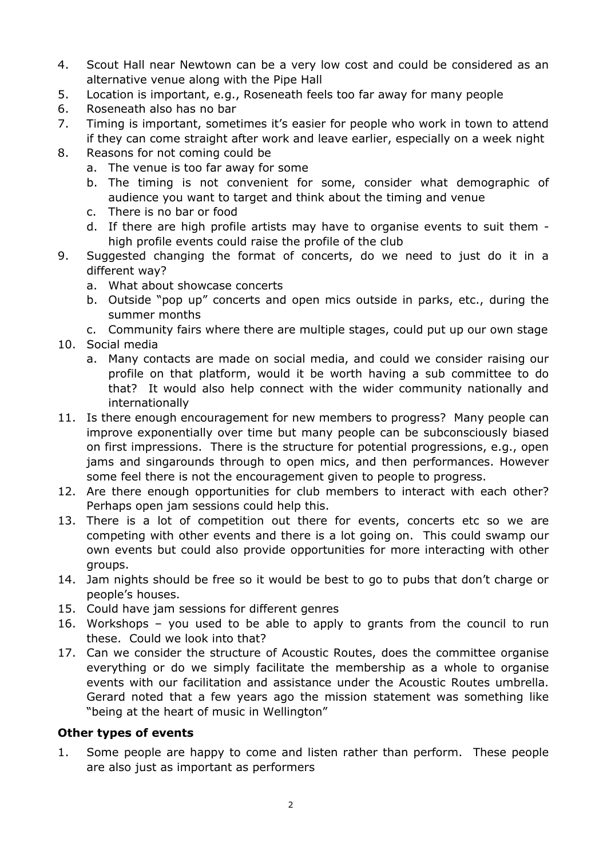- 4. Scout Hall near Newtown can be a very low cost and could be considered as an alternative venue along with the Pipe Hall
- 5. Location is important, e.g., Roseneath feels too far away for many people
- 6. Roseneath also has no bar
- 7. Timing is important, sometimes it's easier for people who work in town to attend if they can come straight after work and leave earlier, especially on a week night
- 8. Reasons for not coming could be
	- a. The venue is too far away for some
	- b. The timing is not convenient for some, consider what demographic of audience you want to target and think about the timing and venue
	- c. There is no bar or food
	- d. If there are high profile artists may have to organise events to suit them high profile events could raise the profile of the club
- 9. Suggested changing the format of concerts, do we need to just do it in a different way?
	- a. What about showcase concerts
	- b. Outside "pop up" concerts and open mics outside in parks, etc., during the summer months
	- c. Community fairs where there are multiple stages, could put up our own stage
- 10. Social media
	- a. Many contacts are made on social media, and could we consider raising our profile on that platform, would it be worth having a sub committee to do that? It would also help connect with the wider community nationally and internationally
- 11. Is there enough encouragement for new members to progress? Many people can improve exponentially over time but many people can be subconsciously biased on first impressions. There is the structure for potential progressions, e.g., open jams and singarounds through to open mics, and then performances. However some feel there is not the encouragement given to people to progress.
- 12. Are there enough opportunities for club members to interact with each other? Perhaps open jam sessions could help this.
- 13. There is a lot of competition out there for events, concerts etc so we are competing with other events and there is a lot going on. This could swamp our own events but could also provide opportunities for more interacting with other groups.
- 14. Jam nights should be free so it would be best to go to pubs that don't charge or people's houses.
- 15. Could have jam sessions for different genres
- 16. Workshops you used to be able to apply to grants from the council to run these. Could we look into that?
- 17. Can we consider the structure of Acoustic Routes, does the committee organise everything or do we simply facilitate the membership as a whole to organise events with our facilitation and assistance under the Acoustic Routes umbrella. Gerard noted that a few years ago the mission statement was something like "being at the heart of music in Wellington"

#### **Other types of events**

1. Some people are happy to come and listen rather than perform. These people are also just as important as performers